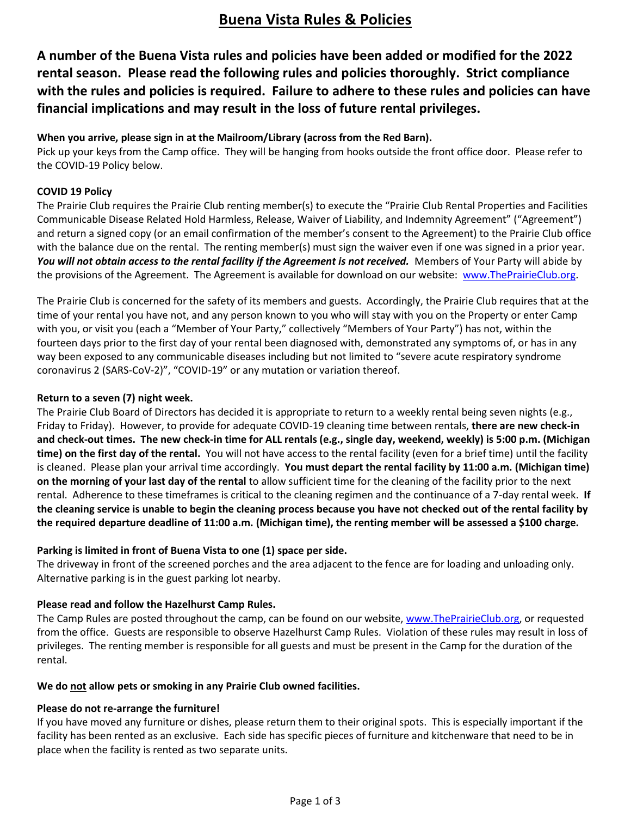## **Buena Vista Rules & Policies**

**A number of the Buena Vista rules and policies have been added or modified for the 2022 rental season. Please read the following rules and policies thoroughly. Strict compliance with the rules and policies is required. Failure to adhere to these rules and policies can have financial implications and may result in the loss of future rental privileges.**

### **When you arrive, please sign in at the Mailroom/Library (across from the Red Barn).**

Pick up your keys from the Camp office. They will be hanging from hooks outside the front office door. Please refer to the COVID-19 Policy below.

### **COVID 19 Policy**

The Prairie Club requires the Prairie Club renting member(s) to execute the "Prairie Club Rental Properties and Facilities Communicable Disease Related Hold Harmless, Release, Waiver of Liability, and Indemnity Agreement" ("Agreement") and return a signed copy (or an email confirmation of the member's consent to the Agreement) to the Prairie Club office with the balance due on the rental. The renting member(s) must sign the waiver even if one was signed in a prior year. You will not obtain access to the rental facility if the Agreement is not received. Members of Your Party will abide by the provisions of the Agreement. The Agreement is available for download on our website: [www.ThePrairieClub.org.](http://www.theprairieclub.org/)

The Prairie Club is concerned for the safety of its members and guests. Accordingly, the Prairie Club requires that at the time of your rental you have not, and any person known to you who will stay with you on the Property or enter Camp with you, or visit you (each a "Member of Your Party," collectively "Members of Your Party") has not, within the fourteen days prior to the first day of your rental been diagnosed with, demonstrated any symptoms of, or has in any way been exposed to any communicable diseases including but not limited to "severe acute respiratory syndrome coronavirus 2 (SARS-CoV-2)", "COVID-19" or any mutation or variation thereof.

#### **Return to a seven (7) night week.**

The Prairie Club Board of Directors has decided it is appropriate to return to a weekly rental being seven nights (e.g., Friday to Friday). However, to provide for adequate COVID-19 cleaning time between rentals, **there are new check-in and check-out times. The new check-in time for ALL rentals (e.g., single day, weekend, weekly) is 5:00 p.m. (Michigan time) on the first day of the rental.** You will not have access to the rental facility (even for a brief time) until the facility is cleaned. Please plan your arrival time accordingly. **You must depart the rental facility by 11:00 a.m. (Michigan time) on the morning of your last day of the rental** to allow sufficient time for the cleaning of the facility prior to the next rental. Adherence to these timeframes is critical to the cleaning regimen and the continuance of a 7-day rental week. **If the cleaning service is unable to begin the cleaning process because you have not checked out of the rental facility by the required departure deadline of 11:00 a.m. (Michigan time), the renting member will be assessed a \$100 charge.**

## **Parking is limited in front of Buena Vista to one (1) space per side.**

The driveway in front of the screened porches and the area adjacent to the fence are for loading and unloading only. Alternative parking is in the guest parking lot nearby.

## **Please read and follow the Hazelhurst Camp Rules.**

The Camp Rules are posted throughout the camp, can be found on our website, [www.ThePrairieClub.org,](http://www.theprairieclub.org/) or requested from the office.Guests are responsible to observe Hazelhurst Camp Rules. Violation of these rules may result in loss of privileges. The renting member is responsible for all guests and must be present in the Camp for the duration of the rental.

#### **We do not allow pets or smoking in any Prairie Club owned facilities.**

#### **Please do not re-arrange the furniture!**

If you have moved any furniture or dishes, please return them to their original spots. This is especially important if the facility has been rented as an exclusive. Each side has specific pieces of furniture and kitchenware that need to be in place when the facility is rented as two separate units.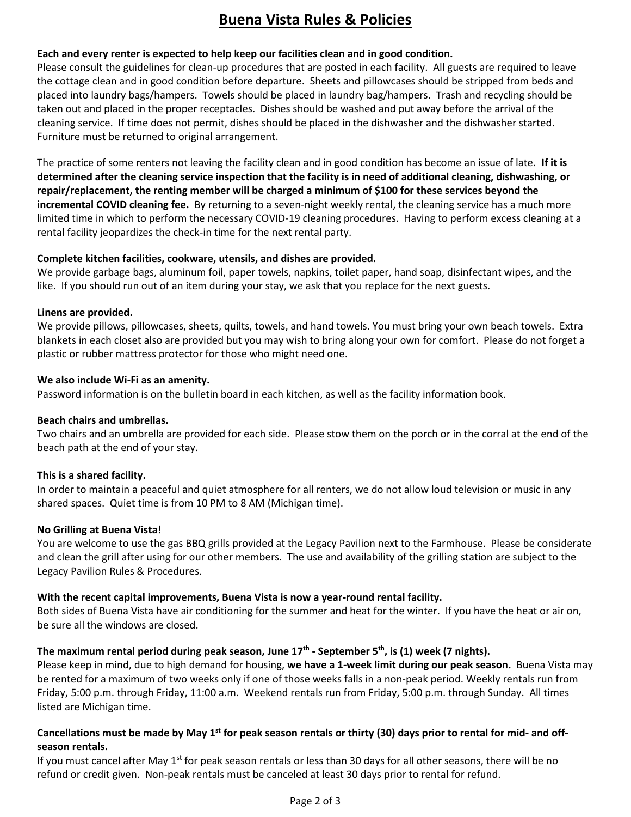# **Buena Vista Rules & Policies**

## **Each and every renter is expected to help keep our facilities clean and in good condition.**

Please consult the guidelines for clean-up procedures that are posted in each facility. All guests are required to leave the cottage clean and in good condition before departure. Sheets and pillowcases should be stripped from beds and placed into laundry bags/hampers. Towels should be placed in laundry bag/hampers. Trash and recycling should be taken out and placed in the proper receptacles. Dishes should be washed and put away before the arrival of the cleaning service. If time does not permit, dishes should be placed in the dishwasher and the dishwasher started. Furniture must be returned to original arrangement.

The practice of some renters not leaving the facility clean and in good condition has become an issue of late. **If it is determined after the cleaning service inspection that the facility is in need of additional cleaning, dishwashing, or repair/replacement, the renting member will be charged a minimum of \$100 for these services beyond the incremental COVID cleaning fee.** By returning to a seven-night weekly rental, the cleaning service has a much more limited time in which to perform the necessary COVID-19 cleaning procedures. Having to perform excess cleaning at a rental facility jeopardizes the check-in time for the next rental party.

## **Complete kitchen facilities, cookware, utensils, and dishes are provided.**

We provide garbage bags, aluminum foil, paper towels, napkins, toilet paper, hand soap, disinfectant wipes, and the like. If you should run out of an item during your stay, we ask that you replace for the next guests.

#### **Linens are provided.**

We provide pillows, pillowcases, sheets, quilts, towels, and hand towels. You must bring your own beach towels. Extra blankets in each closet also are provided but you may wish to bring along your own for comfort. Please do not forget a plastic or rubber mattress protector for those who might need one.

#### **We also include Wi-Fi as an amenity.**

Password information is on the bulletin board in each kitchen, as well as the facility information book.

#### **Beach chairs and umbrellas.**

Two chairs and an umbrella are provided for each side. Please stow them on the porch or in the corral at the end of the beach path at the end of your stay.

#### **This is a shared facility.**

In order to maintain a peaceful and quiet atmosphere for all renters, we do not allow loud television or music in any shared spaces. Quiet time is from 10 PM to 8 AM (Michigan time).

#### **No Grilling at Buena Vista!**

You are welcome to use the gas BBQ grills provided at the Legacy Pavilion next to the Farmhouse. Please be considerate and clean the grill after using for our other members. The use and availability of the grilling station are subject to the Legacy Pavilion Rules & Procedures.

## **With the recent capital improvements, Buena Vista is now a year-round rental facility.**

Both sides of Buena Vista have air conditioning for the summer and heat for the winter. If you have the heat or air on, be sure all the windows are closed.

## **The maximum rental period during peak season, June 17th - September 5th, is (1) week (7 nights).**

Please keep in mind, due to high demand for housing, **we have a 1-week limit during our peak season.** Buena Vista may be rented for a maximum of two weeks only if one of those weeks falls in a non-peak period. Weekly rentals run from Friday, 5:00 p.m. through Friday, 11:00 a.m. Weekend rentals run from Friday, 5:00 p.m. through Sunday. All times listed are Michigan time.

## **Cancellations must be made by May 1st for peak season rentals or thirty (30) days prior to rental for mid- and offseason rentals.**

If you must cancel after May  $1<sup>st</sup>$  for peak season rentals or less than 30 days for all other seasons, there will be no refund or credit given. Non-peak rentals must be canceled at least 30 days prior to rental for refund.